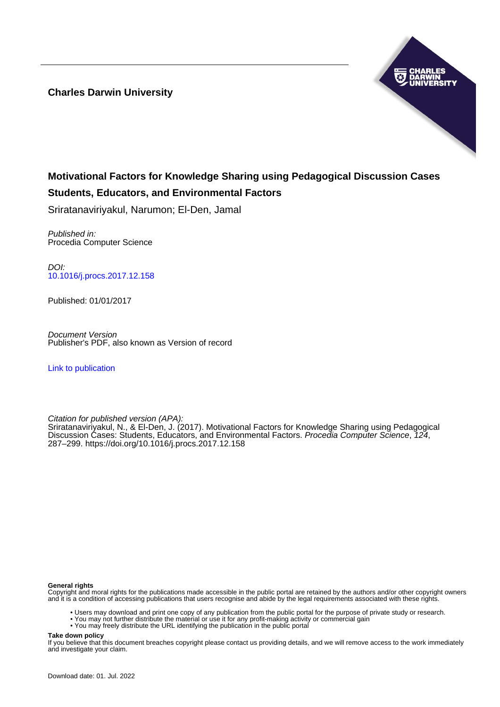**Charles Darwin University**



## **Motivational Factors for Knowledge Sharing using Pedagogical Discussion Cases Students, Educators, and Environmental Factors**

Sriratanaviriyakul, Narumon; El-Den, Jamal

Published in: Procedia Computer Science

DOI: [10.1016/j.procs.2017.12.158](https://doi.org/10.1016/j.procs.2017.12.158)

Published: 01/01/2017

Document Version Publisher's PDF, also known as Version of record

[Link to publication](https://researchers.cdu.edu.au/en/publications/ee7fe63c-c26f-4f0b-83a3-54c074396e52)

Citation for published version (APA):

Sriratanaviriyakul, N., & El-Den, J. (2017). Motivational Factors for Knowledge Sharing using Pedagogical Discussion Cases: Students, Educators, and Environmental Factors. Procedia Computer Science, 124, 287–299.<https://doi.org/10.1016/j.procs.2017.12.158>

#### **General rights**

Copyright and moral rights for the publications made accessible in the public portal are retained by the authors and/or other copyright owners and it is a condition of accessing publications that users recognise and abide by the legal requirements associated with these rights.

- Users may download and print one copy of any publication from the public portal for the purpose of private study or research.
- You may not further distribute the material or use it for any profit-making activity or commercial gain
- You may freely distribute the URL identifying the publication in the public portal

**Take down policy**

If you believe that this document breaches copyright please contact us providing details, and we will remove access to the work immediately and investigate your claim.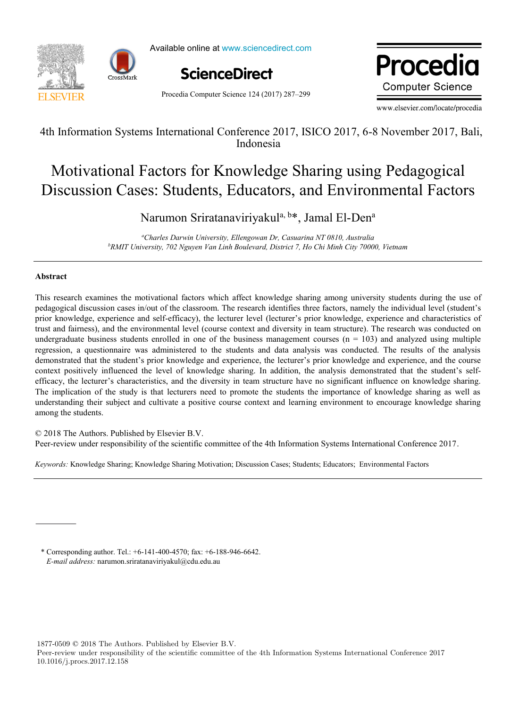

Available online at www.sciencedirect.com



Procedia Computer Science 124 (2017) 287–299

Procedia **Computer Science** 

www.elsevier.com/locate/procedia

## 4th Information Systems International Conference 2017, ISICO 2017, 6-8 November 2017, Bali, Indonesia

# Motivational Factors for Knowledge Sharing using Pedagogical Discussion Cases: Students, Educators, and Environmental Factors

Narumon Sriratanaviriyakul<sup>a, b\*</sup>, Jamal El-Den<sup>a</sup>

*a Charles Darwin University, Ellengowan Dr, Casuarina NT 0810, Australia b RMIT University, 702 Nguyen Van Linh Boulevard, District 7, Ho Chi Minh City 70000, Vietnam*

## **Abstract**

This research examines the motivational factors which affect knowledge sharing among university students during the use of pedagogical discussion cases in/out of the classroom. The research identifies three factors, namely the individual level (student's prior knowledge, experience and self-efficacy), the lecturer level (lecturer's prior knowledge, experience and characteristics of trust and fairness), and the environmental level (course context and diversity in team structure). The research was conducted on undergraduate business students enrolled in one of the business management courses  $(n = 103)$  and analyzed using multiple regression, a questionnaire was administered to the students and data analysis was conducted. The results of the analysis demonstrated that the student's prior knowledge and experience, the lecturer's prior knowledge and experience, and the course context positively influenced the level of knowledge sharing. In addition, the analysis demonstrated that the student's selfefficacy, the lecturer's characteristics, and the diversity in team structure have no significant influence on knowledge sharing. The implication of the study is that lecturers need to promote the students the importance of knowledge sharing as well as understanding their subject and cultivate a positive course context and learning environment to encourage knowledge sharing among the students.

© 2018 The Authors. Published by Elsevier B.V. Peer-review under responsibility of the scientific committee of the 4th Information Systems International Conference 2017.

*Keywords:* Knowledge Sharing; Knowledge Sharing Motivation; Discussion Cases; Students; Educators; Environmental Factors

\* Corresponding author. Tel.: +6-141-400-4570; fax: +6-188-946-6642. *E-mail address:* narumon.sriratanaviriyakul@cdu.edu.au

1877-0509 © 2018 The Authors. Published by Elsevier B.V.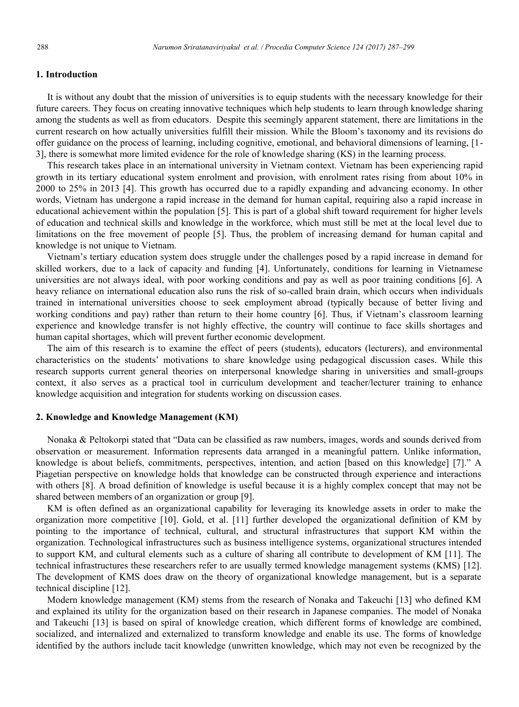## **1. Introduction**

It is without any doubt that the mission of universities is to equip students with the necessary knowledge for their future careers. They focus on creating innovative techniques which help students to learn through knowledge sharing among the students as well as from educators. Despite this seemingly apparent statement, there are limitations in the current research on how actually universities fulfill their mission. While the Bloom's taxonomy and its revisions do offer guidance on the process of learning, including cognitive, emotional, and behavioral dimensions of learning, [1- 3], there is somewhat more limited evidence for the role of knowledge sharing (KS) in the learning process.

This research takes place in an international university in Vietnam context. Vietnam has been experiencing rapid growth in its tertiary educational system enrolment and provision, with enrolment rates rising from about 10% in 2000 to 25% in 2013 [4]. This growth has occurred due to a rapidly expanding and advancing economy. In other words, Vietnam has undergone a rapid increase in the demand for human capital, requiring also a rapid increase in educational achievement within the population [5]. This is part of a global shift toward requirement for higher levels of education and technical skills and knowledge in the workforce, which must still be met at the local level due to limitations on the free movement of people [5]. Thus, the problem of increasing demand for human capital and knowledge is not unique to Vietnam.

Vietnam's tertiary education system does struggle under the challenges posed by a rapid increase in demand for skilled workers, due to a lack of capacity and funding [4]. Unfortunately, conditions for learning in Vietnamese universities are not always ideal, with poor working conditions and pay as well as poor training conditions [6]. A heavy reliance on international education also runs the risk of so-called brain drain, which occurs when individuals trained in international universities choose to seek employment abroad (typically because of better living and working conditions and pay) rather than return to their home country [6]. Thus, if Vietnam's classroom learning experience and knowledge transfer is not highly effective, the country will continue to face skills shortages and human capital shortages, which will prevent further economic development.

The aim of this research is to examine the effect of peers (students), educators (lecturers), and environmental characteristics on the students' motivations to share knowledge using pedagogical discussion cases. While this research supports current general theories on interpersonal knowledge sharing in universities and small-groups context, it also serves as a practical tool in curriculum development and teacher/lecturer training to enhance knowledge acquisition and integration for students working on discussion cases.

### **2. Knowledge and Knowledge Management (KM)**

Nonaka & Peltokorpi stated that "Data can be classified as raw numbers, images, words and sounds derived from observation or measurement. Information represents data arranged in a meaningful pattern. Unlike information, knowledge is about beliefs, commitments, perspectives, intention, and action [based on this knowledge] [7]." A Piagetian perspective on knowledge holds that knowledge can be constructed through experience and interactions with others [8]. A broad definition of knowledge is useful because it is a highly complex concept that may not be shared between members of an organization or group [9].

KM is often defined as an organizational capability for leveraging its knowledge assets in order to make the organization more competitive [10]. Gold, et al. [11] further developed the organizational definition of KM by pointing to the importance of technical, cultural, and structural infrastructures that support KM within the organization. Technological infrastructures such as business intelligence systems, organizational structures intended to support KM, and cultural elements such as a culture of sharing all contribute to development of KM [11]. The technical infrastructures these researchers refer to are usually termed knowledge management systems (KMS) [12]. The development of KMS does draw on the theory of organizational knowledge management, but is a separate technical discipline [12].

Modern knowledge management (KM) stems from the research of Nonaka and Takeuchi [13] who defined KM and explained its utility for the organization based on their research in Japanese companies. The model of Nonaka and Takeuchi [13] is based on spiral of knowledge creation, which different forms of knowledge are combined, socialized, and internalized and externalized to transform knowledge and enable its use. The forms of knowledge identified by the authors include tacit knowledge (unwritten knowledge, which may not even be recognized by the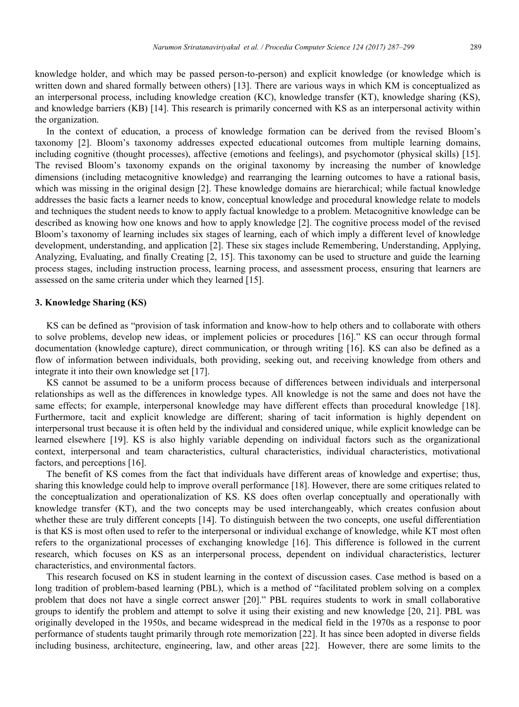knowledge holder, and which may be passed person-to-person) and explicit knowledge (or knowledge which is written down and shared formally between others) [13]. There are various ways in which KM is conceptualized as an interpersonal process, including knowledge creation (KC), knowledge transfer (KT), knowledge sharing (KS), and knowledge barriers (KB) [14]. This research is primarily concerned with KS as an interpersonal activity within the organization.

In the context of education, a process of knowledge formation can be derived from the revised Bloom's taxonomy [2]. Bloom's taxonomy addresses expected educational outcomes from multiple learning domains, including cognitive (thought processes), affective (emotions and feelings), and psychomotor (physical skills) [15]. The revised Bloom's taxonomy expands on the original taxonomy by increasing the number of knowledge dimensions (including metacognitive knowledge) and rearranging the learning outcomes to have a rational basis, which was missing in the original design [2]. These knowledge domains are hierarchical; while factual knowledge addresses the basic facts a learner needs to know, conceptual knowledge and procedural knowledge relate to models and techniques the student needs to know to apply factual knowledge to a problem. Metacognitive knowledge can be described as knowing how one knows and how to apply knowledge [2]. The cognitive process model of the revised Bloom's taxonomy of learning includes six stages of learning, each of which imply a different level of knowledge development, understanding, and application [2]. These six stages include Remembering, Understanding, Applying, Analyzing, Evaluating, and finally Creating [2, 15]. This taxonomy can be used to structure and guide the learning process stages, including instruction process, learning process, and assessment process, ensuring that learners are assessed on the same criteria under which they learned [15].

### **3. Knowledge Sharing (KS)**

KS can be defined as "provision of task information and know-how to help others and to collaborate with others to solve problems, develop new ideas, or implement policies or procedures [16]." KS can occur through formal documentation (knowledge capture), direct communication, or through writing [16]. KS can also be defined as a flow of information between individuals, both providing, seeking out, and receiving knowledge from others and integrate it into their own knowledge set [17].

KS cannot be assumed to be a uniform process because of differences between individuals and interpersonal relationships as well as the differences in knowledge types. All knowledge is not the same and does not have the same effects; for example, interpersonal knowledge may have different effects than procedural knowledge [18]. Furthermore, tacit and explicit knowledge are different; sharing of tacit information is highly dependent on interpersonal trust because it is often held by the individual and considered unique, while explicit knowledge can be learned elsewhere [19]. KS is also highly variable depending on individual factors such as the organizational context, interpersonal and team characteristics, cultural characteristics, individual characteristics, motivational factors, and perceptions [16].

The benefit of KS comes from the fact that individuals have different areas of knowledge and expertise; thus, sharing this knowledge could help to improve overall performance [18]. However, there are some critiques related to the conceptualization and operationalization of KS. KS does often overlap conceptually and operationally with knowledge transfer (KT), and the two concepts may be used interchangeably, which creates confusion about whether these are truly different concepts [14]. To distinguish between the two concepts, one useful differentiation is that KS is most often used to refer to the interpersonal or individual exchange of knowledge, while KT most often refers to the organizational processes of exchanging knowledge [16]. This difference is followed in the current research, which focuses on KS as an interpersonal process, dependent on individual characteristics, lecturer characteristics, and environmental factors.

This research focused on KS in student learning in the context of discussion cases. Case method is based on a long tradition of problem-based learning (PBL), which is a method of "facilitated problem solving on a complex problem that does not have a single correct answer [20]." PBL requires students to work in small collaborative groups to identify the problem and attempt to solve it using their existing and new knowledge [20, 21]. PBL was originally developed in the 1950s, and became widespread in the medical field in the 1970s as a response to poor performance of students taught primarily through rote memorization [22]. It has since been adopted in diverse fields including business, architecture, engineering, law, and other areas [22]. However, there are some limits to the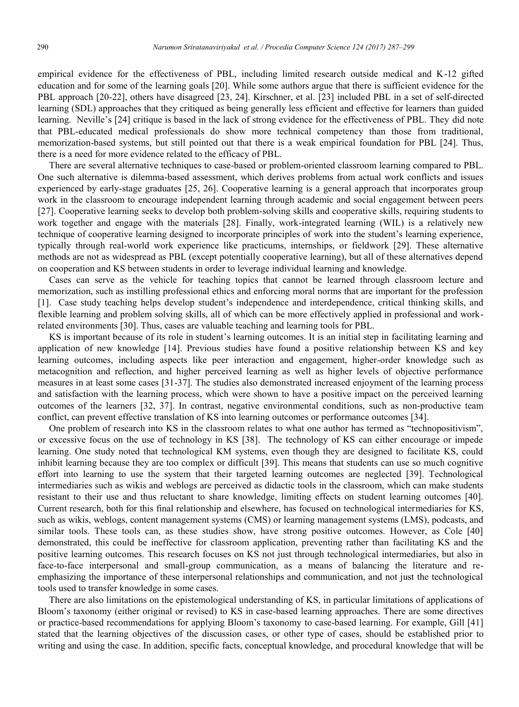empirical evidence for the effectiveness of PBL, including limited research outside medical and K-12 gifted education and for some of the learning goals [20]. While some authors argue that there is sufficient evidence for the PBL approach [20-22], others have disagreed [23, 24]. Kirschner, et al. [23] included PBL in a set of self-directed learning (SDL) approaches that they critiqued as being generally less efficient and effective for learners than guided learning. Neville's [24] critique is based in the lack of strong evidence for the effectiveness of PBL. They did note that PBL-educated medical professionals do show more technical competency than those from traditional, memorization-based systems, but still pointed out that there is a weak empirical foundation for PBL [24]. Thus, there is a need for more evidence related to the efficacy of PBL.

There are several alternative techniques to case-based or problem-oriented classroom learning compared to PBL. One such alternative is dilemma-based assessment, which derives problems from actual work conflicts and issues experienced by early-stage graduates [25, 26]. Cooperative learning is a general approach that incorporates group work in the classroom to encourage independent learning through academic and social engagement between peers [27]. Cooperative learning seeks to develop both problem-solving skills and cooperative skills, requiring students to work together and engage with the materials [28]. Finally, work-integrated learning (WIL) is a relatively new technique of cooperative learning designed to incorporate principles of work into the student's learning experience, typically through real-world work experience like practicums, internships, or fieldwork [29]. These alternative methods are not as widespread as PBL (except potentially cooperative learning), but all of these alternatives depend on cooperation and KS between students in order to leverage individual learning and knowledge.

Cases can serve as the vehicle for teaching topics that cannot be learned through classroom lecture and memorization, such as instilling professional ethics and enforcing moral norms that are important for the profession [1]. Case study teaching helps develop student's independence and interdependence, critical thinking skills, and flexible learning and problem solving skills, all of which can be more effectively applied in professional and workrelated environments [30]. Thus, cases are valuable teaching and learning tools for PBL.

KS is important because of its role in student's learning outcomes. It is an initial step in facilitating learning and application of new knowledge [14]. Previous studies have found a positive relationship between KS and key learning outcomes, including aspects like peer interaction and engagement, higher-order knowledge such as metacognition and reflection, and higher perceived learning as well as higher levels of objective performance measures in at least some cases [31-37]. The studies also demonstrated increased enjoyment of the learning process and satisfaction with the learning process, which were shown to have a positive impact on the perceived learning outcomes of the learners [32, 37]. In contrast, negative environmental conditions, such as non-productive team conflict, can prevent effective translation of KS into learning outcomes or performance outcomes [34].

One problem of research into KS in the classroom relates to what one author has termed as "technopositivism", or excessive focus on the use of technology in KS [38]. The technology of KS can either encourage or impede learning. One study noted that technological KM systems, even though they are designed to facilitate KS, could inhibit learning because they are too complex or difficult [39]. This means that students can use so much cognitive effort into learning to use the system that their targeted learning outcomes are neglected [39]. Technological intermediaries such as wikis and weblogs are perceived as didactic tools in the classroom, which can make students resistant to their use and thus reluctant to share knowledge, limiting effects on student learning outcomes [40]. Current research, both for this final relationship and elsewhere, has focused on technological intermediaries for KS, such as wikis, weblogs, content management systems (CMS) or learning management systems (LMS), podcasts, and similar tools. These tools can, as these studies show, have strong positive outcomes. However, as Cole [40] demonstrated, this could be ineffective for classroom application, preventing rather than facilitating KS and the positive learning outcomes. This research focuses on KS not just through technological intermediaries, but also in face-to-face interpersonal and small-group communication, as a means of balancing the literature and reemphasizing the importance of these interpersonal relationships and communication, and not just the technological tools used to transfer knowledge in some cases.

There are also limitations on the epistemological understanding of KS, in particular limitations of applications of Bloom's taxonomy (either original or revised) to KS in case-based learning approaches. There are some directives or practice-based recommendations for applying Bloom's taxonomy to case-based learning. For example, Gill [41] stated that the learning objectives of the discussion cases, or other type of cases, should be established prior to writing and using the case. In addition, specific facts, conceptual knowledge, and procedural knowledge that will be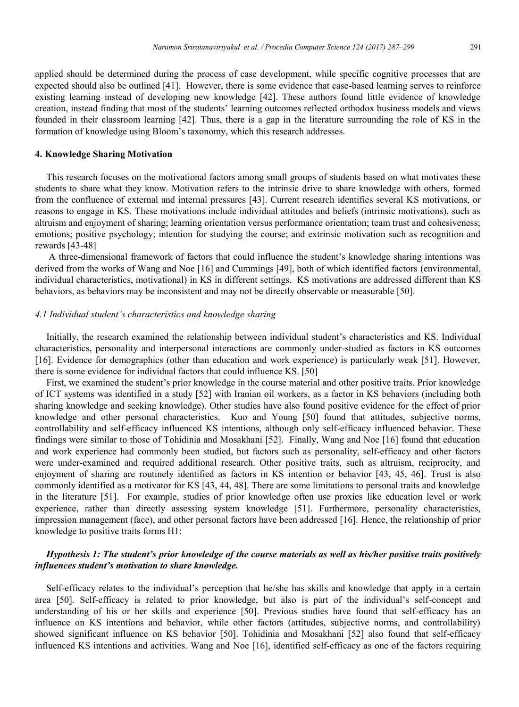applied should be determined during the process of case development, while specific cognitive processes that are expected should also be outlined [41]. However, there is some evidence that case-based learning serves to reinforce existing learning instead of developing new knowledge [42]. These authors found little evidence of knowledge creation, instead finding that most of the students' learning outcomes reflected orthodox business models and views founded in their classroom learning [42]. Thus, there is a gap in the literature surrounding the role of KS in the formation of knowledge using Bloom's taxonomy, which this research addresses.

## **4. Knowledge Sharing Motivation**

This research focuses on the motivational factors among small groups of students based on what motivates these students to share what they know. Motivation refers to the intrinsic drive to share knowledge with others, formed from the confluence of external and internal pressures [43]. Current research identifies several KS motivations, or reasons to engage in KS. These motivations include individual attitudes and beliefs (intrinsic motivations), such as altruism and enjoyment of sharing; learning orientation versus performance orientation; team trust and cohesiveness; emotions; positive psychology; intention for studying the course; and extrinsic motivation such as recognition and rewards [43-48]

A three-dimensional framework of factors that could influence the student's knowledge sharing intentions was derived from the works of Wang and Noe [16] and Cummings [49], both of which identified factors (environmental, individual characteristics, motivational) in KS in different settings. KS motivations are addressed different than KS behaviors, as behaviors may be inconsistent and may not be directly observable or measurable [50].

#### *4.1 Individual student's characteristics and knowledge sharing*

Initially, the research examined the relationship between individual student's characteristics and KS. Individual characteristics, personality and interpersonal interactions are commonly under-studied as factors in KS outcomes [16]. Evidence for demographics (other than education and work experience) is particularly weak [51]. However, there is some evidence for individual factors that could influence KS. [50]

First, we examined the student's prior knowledge in the course material and other positive traits. Prior knowledge of ICT systems was identified in a study [52] with Iranian oil workers, as a factor in KS behaviors (including both sharing knowledge and seeking knowledge). Other studies have also found positive evidence for the effect of prior knowledge and other personal characteristics. Kuo and Young [50] found that attitudes, subjective norms, controllability and self-efficacy influenced KS intentions, although only self-efficacy influenced behavior. These findings were similar to those of Tohidinia and Mosakhani [52]. Finally, Wang and Noe [16] found that education and work experience had commonly been studied, but factors such as personality, self-efficacy and other factors were under-examined and required additional research. Other positive traits, such as altruism, reciprocity, and enjoyment of sharing are routinely identified as factors in KS intention or behavior [43, 45, 46]. Trust is also commonly identified as a motivator for KS [43, 44, 48]. There are some limitations to personal traits and knowledge in the literature [51]. For example, studies of prior knowledge often use proxies like education level or work experience, rather than directly assessing system knowledge [51]. Furthermore, personality characteristics, impression management (face), and other personal factors have been addressed [16]. Hence, the relationship of prior knowledge to positive traits forms H1:

## *Hypothesis 1: The student's prior knowledge of the course materials as well as his/her positive traits positively influences student's motivation to share knowledge.*

Self-efficacy relates to the individual's perception that he/she has skills and knowledge that apply in a certain area [50]. Self-efficacy is related to prior knowledge, but also is part of the individual's self-concept and understanding of his or her skills and experience [50]. Previous studies have found that self-efficacy has an influence on KS intentions and behavior, while other factors (attitudes, subjective norms, and controllability) showed significant influence on KS behavior [50]. Tohidinia and Mosakhani [52] also found that self-efficacy influenced KS intentions and activities. Wang and Noe [16], identified self-efficacy as one of the factors requiring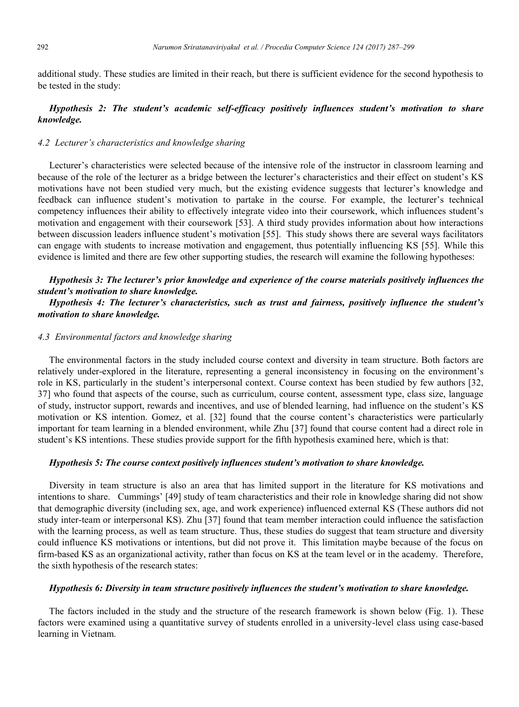additional study. These studies are limited in their reach, but there is sufficient evidence for the second hypothesis to be tested in the study:

## *Hypothesis 2: The student's academic self-efficacy positively influences student's motivation to share knowledge.*

## *4.2 Lecturer's characteristics and knowledge sharing*

Lecturer's characteristics were selected because of the intensive role of the instructor in classroom learning and because of the role of the lecturer as a bridge between the lecturer's characteristics and their effect on student's KS motivations have not been studied very much, but the existing evidence suggests that lecturer's knowledge and feedback can influence student's motivation to partake in the course. For example, the lecturer's technical competency influences their ability to effectively integrate video into their coursework, which influences student's motivation and engagement with their coursework [53]. A third study provides information about how interactions between discussion leaders influence student's motivation [55]. This study shows there are several ways facilitators can engage with students to increase motivation and engagement, thus potentially influencing KS [55]. While this evidence is limited and there are few other supporting studies, the research will examine the following hypotheses:

## *Hypothesis 3: The lecturer's prior knowledge and experience of the course materials positively influences the student's motivation to share knowledge.*

## *Hypothesis 4: The lecturer's characteristics, such as trust and fairness, positively influence the student's motivation to share knowledge.*

## *4.3 Environmental factors and knowledge sharing*

The environmental factors in the study included course context and diversity in team structure. Both factors are relatively under-explored in the literature, representing a general inconsistency in focusing on the environment's role in KS, particularly in the student's interpersonal context. Course context has been studied by few authors [32, 37] who found that aspects of the course, such as curriculum, course content, assessment type, class size, language of study, instructor support, rewards and incentives, and use of blended learning, had influence on the student's KS motivation or KS intention. Gomez, et al. [32] found that the course content's characteristics were particularly important for team learning in a blended environment, while Zhu [37] found that course content had a direct role in student's KS intentions. These studies provide support for the fifth hypothesis examined here, which is that:

## *Hypothesis 5: The course context positively influences student's motivation to share knowledge.*

Diversity in team structure is also an area that has limited support in the literature for KS motivations and intentions to share. Cummings' [49] study of team characteristics and their role in knowledge sharing did not show that demographic diversity (including sex, age, and work experience) influenced external KS (These authors did not study inter-team or interpersonal KS). Zhu [37] found that team member interaction could influence the satisfaction with the learning process, as well as team structure. Thus, these studies do suggest that team structure and diversity could influence KS motivations or intentions, but did not prove it. This limitation maybe because of the focus on firm-based KS as an organizational activity, rather than focus on KS at the team level or in the academy. Therefore, the sixth hypothesis of the research states:

#### *Hypothesis 6: Diversity in team structure positively influences the student's motivation to share knowledge.*

The factors included in the study and the structure of the research framework is shown below (Fig. 1). These factors were examined using a quantitative survey of students enrolled in a university-level class using case-based learning in Vietnam.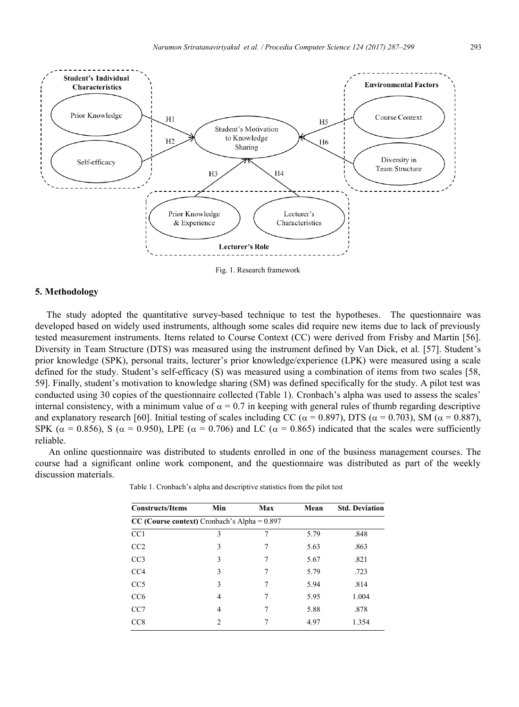

Fig. 1. Research framework

## **5. Methodology**

The study adopted the quantitative survey-based technique to test the hypotheses. The questionnaire was developed based on widely used instruments, although some scales did require new items due to lack of previously tested measurement instruments. Items related to Course Context (CC) were derived from Frisby and Martin [56]. Diversity in Team Structure (DTS) was measured using the instrument defined by Van Dick, et al. [57]. Student's prior knowledge (SPK), personal traits, lecturer's prior knowledge/experience (LPK) were measured using a scale defined for the study. Student's self-efficacy (S) was measured using a combination of items from two scales [58, 59]. Finally, student's motivation to knowledge sharing (SM) was defined specifically for the study. A pilot test was conducted using 30 copies of the questionnaire collected (Table 1). Cronbach's alpha was used to assess the scales' internal consistency, with a minimum value of  $\alpha = 0.7$  in keeping with general rules of thumb regarding descriptive and explanatory research [60]. Initial testing of scales including CC ( $\alpha = 0.897$ ), DTS ( $\alpha = 0.703$ ), SM ( $\alpha = 0.887$ ), SPK ( $\alpha$  = 0.856), S ( $\alpha$  = 0.950), LPE ( $\alpha$  = 0.706) and LC ( $\alpha$  = 0.865) indicated that the scales were sufficiently reliable.

An online questionnaire was distributed to students enrolled in one of the business management courses. The course had a significant online work component, and the questionnaire was distributed as part of the weekly discussion materials.

| <b>Constructs/Items</b>                      | Min | Max | Mean | <b>Std. Deviation</b> |  |  |  |  |
|----------------------------------------------|-----|-----|------|-----------------------|--|--|--|--|
| CC (Course context) Cronbach's Alpha = 0.897 |     |     |      |                       |  |  |  |  |
| CC1                                          | 3   | 7   | 5.79 | .848                  |  |  |  |  |
| CC2                                          | 3   | 7   | 5.63 | .863                  |  |  |  |  |
| CC <sub>3</sub>                              | 3   |     | 5.67 | .821                  |  |  |  |  |
| CC4                                          | 3   | 7   | 5.79 | .723                  |  |  |  |  |
| CC <sub>5</sub>                              | 3   | 7   | 5.94 | .814                  |  |  |  |  |
| CC <sub>6</sub>                              | 4   | 7   | 5.95 | 1.004                 |  |  |  |  |
| CC7                                          | 4   | 7   | 5.88 | .878                  |  |  |  |  |
| CC <sub>8</sub>                              | 2   | 7   | 4.97 | 1.354                 |  |  |  |  |
|                                              |     |     |      |                       |  |  |  |  |

Table 1. Cronbach's alpha and descriptive statistics from the pilot test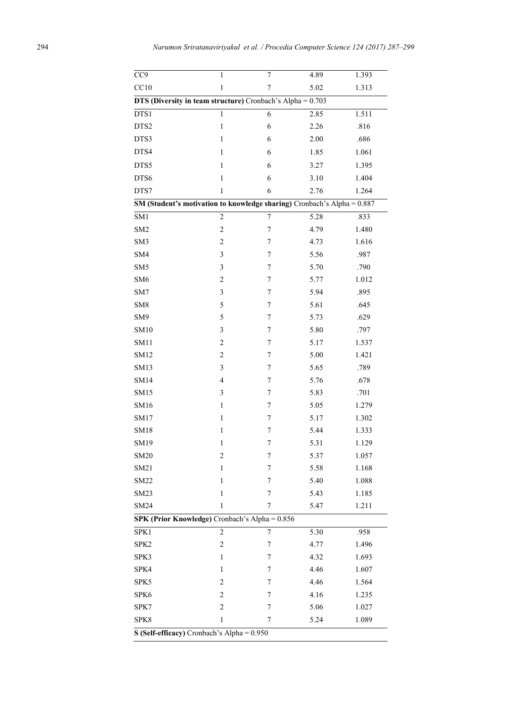| CC <sub>9</sub>                                                         | 1                        | 7                | 4.89          | 1.393 |  |  |  |
|-------------------------------------------------------------------------|--------------------------|------------------|---------------|-------|--|--|--|
| CC10                                                                    | $\mathbf{1}$             | $\boldsymbol{7}$ | 5.02          | 1.313 |  |  |  |
| DTS (Diversity in team structure) Cronbach's Alpha = $0.703$            |                          |                  |               |       |  |  |  |
| DTS1                                                                    | $\mathbf{1}$             | $\overline{6}$   | 2.85          | 1.511 |  |  |  |
| DTS2                                                                    | $\mathbf{1}$             | 6                | 2.26          | .816  |  |  |  |
| DTS3                                                                    | $\mathbf{1}$             | 6                | 2.00<br>.686  |       |  |  |  |
| DTS4                                                                    | $\mathbf{1}$             | 6                |               |       |  |  |  |
|                                                                         |                          |                  | 1.85<br>1.061 |       |  |  |  |
| DTS5                                                                    | 1                        | 6                | 3.27<br>1.395 |       |  |  |  |
| DTS6                                                                    | $\,1$                    | 6                | 3.10<br>1.404 |       |  |  |  |
| DTS7                                                                    | 1                        | 6                | 2.76          | 1.264 |  |  |  |
| SM (Student's motivation to knowledge sharing) Cronbach's Alpha = 0.887 |                          |                  |               |       |  |  |  |
| $\overline{\text{SM1}}$                                                 | $\overline{c}$           | 7                | 5.28          | .833  |  |  |  |
| SM <sub>2</sub>                                                         | $\overline{c}$           | $\boldsymbol{7}$ | 4.79          | 1.480 |  |  |  |
| SM3                                                                     | $\overline{c}$           | 7                | 4.73          | 1.616 |  |  |  |
| SM4                                                                     | 3                        | $\tau$           | 5.56          | .987  |  |  |  |
| SM <sub>5</sub>                                                         | $\mathfrak{Z}$           | 7                | 5.70          | .790  |  |  |  |
| SM <sub>6</sub>                                                         | $\overline{c}$           | 7                | 5.77          | 1.012 |  |  |  |
| SM7                                                                     | $\mathfrak{Z}$           | $\boldsymbol{7}$ | 5.94          | .895  |  |  |  |
| SM <sub>8</sub>                                                         | 5                        | $\tau$           | 5.61          | .645  |  |  |  |
| SM9                                                                     | 5                        | $\tau$           | 5.73          | .629  |  |  |  |
| <b>SM10</b>                                                             | $\mathfrak{Z}$           | $\tau$           | 5.80          | .797  |  |  |  |
| <b>SM11</b>                                                             | $\overline{c}$           | 7                | 5.17          | 1.537 |  |  |  |
| <b>SM12</b>                                                             | $\overline{c}$           | 7                | 5.00          | 1.421 |  |  |  |
| SM13                                                                    | $\mathfrak{Z}$           | 7                | 5.65          | .789  |  |  |  |
| <b>SM14</b>                                                             | $\overline{\mathcal{L}}$ | $\tau$           | 5.76          | .678  |  |  |  |
| SM15                                                                    | $\mathfrak{Z}$           | 7                | 5.83          | .701  |  |  |  |
| SM16                                                                    | 1                        | $\tau$           | 5.05          | 1.279 |  |  |  |
| SM17                                                                    | $\,1$                    | $\boldsymbol{7}$ | 5.17          | 1.302 |  |  |  |
| <b>SM18</b>                                                             | $\mathbf{1}$             | $\tau$           | 5.44          | 1.333 |  |  |  |
| SM19                                                                    | $\mathbf{1}$             | $\tau$           | 5.31          | 1.129 |  |  |  |
| <b>SM20</b>                                                             | $\boldsymbol{2}$         | 7                | 5.37          | 1.057 |  |  |  |
| SM21                                                                    | $\mathbf{1}$             | 7                | 5.58          | 1.168 |  |  |  |
| <b>SM22</b>                                                             | $\mathbf{1}$             | $\boldsymbol{7}$ | 5.40          | 1.088 |  |  |  |
| SM23                                                                    | 1                        | 7                | 5.43          | 1.185 |  |  |  |
| SM24                                                                    | 1                        | 7                | 5.47          | 1.211 |  |  |  |
| SPK (Prior Knowledge) Cronbach's Alpha = 0.856                          |                          |                  |               |       |  |  |  |
| SPK1                                                                    | $\overline{c}$           | 7                | 5.30          | .958  |  |  |  |
| SPK <sub>2</sub>                                                        | $\overline{\mathbf{c}}$  | $\tau$           | 4.77          | 1.496 |  |  |  |
| SPK3                                                                    | 1                        | 7                | 4.32          | 1.693 |  |  |  |
| SPK4                                                                    | 1                        | 7                | 4.46          | 1.607 |  |  |  |
| SPK5                                                                    | $\boldsymbol{2}$         | 7                | 4.46          | 1.564 |  |  |  |
| SPK6                                                                    | $\overline{c}$           | 7                | 4.16          | 1.235 |  |  |  |
| SPK7                                                                    | $\overline{c}$           | 7                | 5.06          | 1.027 |  |  |  |
| SPK8                                                                    | 1                        | 7                | 5.24          | 1.089 |  |  |  |
| $\overline{\textbf{S}}$ (Self-efficacy) Cronbach's Alpha = 0.950        |                          |                  |               |       |  |  |  |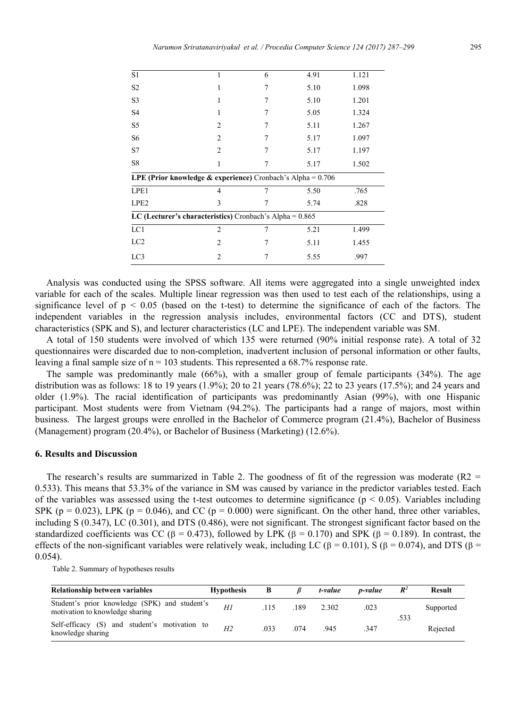| S1                                                             |                | 6 | 4.91 | 1.121 |  |  |  |  |
|----------------------------------------------------------------|----------------|---|------|-------|--|--|--|--|
| S <sub>2</sub>                                                 |                |   | 5.10 | 1.098 |  |  |  |  |
| S <sub>3</sub>                                                 | L              |   | 5.10 | 1.201 |  |  |  |  |
| S <sub>4</sub>                                                 |                |   | 5.05 | 1.324 |  |  |  |  |
| S <sub>5</sub>                                                 | 2              |   | 5.11 | 1.267 |  |  |  |  |
| S <sub>6</sub>                                                 | $\mathfrak{D}$ |   | 5.17 | 1.097 |  |  |  |  |
| S7                                                             | 2              |   | 5.17 | 1.197 |  |  |  |  |
| S8                                                             |                | 7 | 5.17 | 1.502 |  |  |  |  |
| LPE (Prior knowledge $\&$ experience) Cronbach's Alpha = 0.706 |                |   |      |       |  |  |  |  |
| LPE1                                                           | 4              |   | 5.50 | .765  |  |  |  |  |
| LPE <sub>2</sub>                                               | 3              |   | 5.74 | .828  |  |  |  |  |
| LC (Lecturer's characteristics) Cronbach's Alpha = $0.865$     |                |   |      |       |  |  |  |  |
| LC1                                                            | $\overline{2}$ | 7 | 5.21 | 1.499 |  |  |  |  |
| LC <sub>2</sub>                                                | 2              |   | 5.11 | 1.455 |  |  |  |  |
| LC3                                                            | 2              | 7 | 5.55 | .997  |  |  |  |  |

Analysis was conducted using the SPSS software. All items were aggregated into a single unweighted index variable for each of the scales. Multiple linear regression was then used to test each of the relationships, using a significance level of  $p < 0.05$  (based on the t-test) to determine the significance of each of the factors. The independent variables in the regression analysis includes, environmental factors (CC and DTS), student characteristics (SPK and S), and lecturer characteristics (LC and LPE). The independent variable was SM.

A total of 150 students were involved of which 135 were returned (90% initial response rate). A total of 32 questionnaires were discarded due to non-completion, inadvertent inclusion of personal information or other faults, leaving a final sample size of  $n = 103$  students. This represented a 68.7% response rate.

The sample was predominantly male (66%), with a smaller group of female participants (34%). The age distribution was as follows: 18 to 19 years  $(1.9\%)$ ; 20 to 21 years  $(78.6\%)$ ; 22 to 23 years  $(17.5\%)$ ; and 24 years and older (1.9%). The racial identification of participants was predominantly Asian (99%), with one Hispanic participant. Most students were from Vietnam (94.2%). The participants had a range of majors, most within business. The largest groups were enrolled in the Bachelor of Commerce program (21.4%), Bachelor of Business (Management) program (20.4%), or Bachelor of Business (Marketing) (12.6%).

## **6. Results and Discussion**

The research's results are summarized in Table 2. The goodness of fit of the regression was moderate ( $R2$  = 0.533). This means that 53.3% of the variance in SM was caused by variance in the predictor variables tested. Each of the variables was assessed using the t-test outcomes to determine significance ( $p < 0.05$ ). Variables including SPK ( $p = 0.023$ ), LPK ( $p = 0.046$ ), and CC ( $p = 0.000$ ) were significant. On the other hand, three other variables, including S (0.347), LC (0.301), and DTS (0.486), were not significant. The strongest significant factor based on the standardized coefficients was CC ( $\beta = 0.473$ ), followed by LPK ( $\beta = 0.170$ ) and SPK ( $\beta = 0.189$ ). In contrast, the effects of the non-significant variables were relatively weak, including LC ( $\beta$  = 0.101), S ( $\beta$  = 0.074), and DTS ( $\beta$  = 0.054).

Table 2. Summary of hypotheses results

| Relationship between variables                                                   | <b>Hypothesis</b> | B    |      | t-value | p-value | $\mathbb{R}^2$ | <b>Result</b> |
|----------------------------------------------------------------------------------|-------------------|------|------|---------|---------|----------------|---------------|
| Student's prior knowledge (SPK) and student's<br>motivation to knowledge sharing | HΙ                | .115 | .189 | 2.302   | .023    | .533           | Supported     |
| Self-efficacy (S) and student's motivation to<br>knowledge sharing               | H <sub>2</sub>    | .033 | .074 | .945    | .347    |                | Rejected      |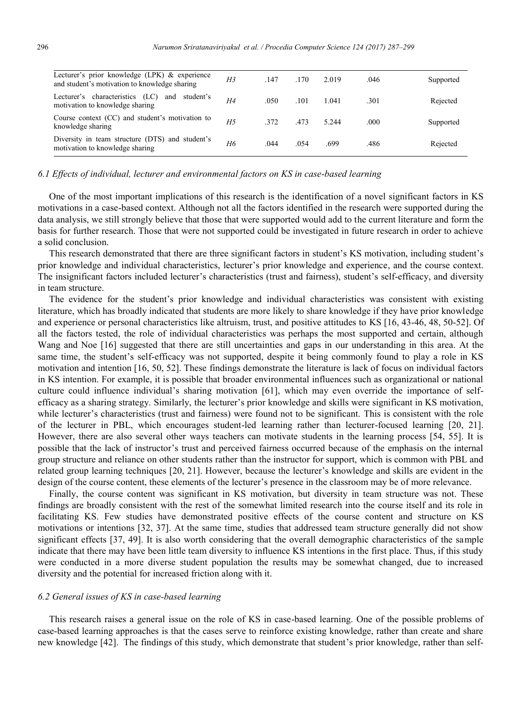| Lecturer's prior knowledge $(LPK)$ & experience<br>and student's motivation to knowledge sharing | H <sub>3</sub> | .147 | .170 | 2.019   | .046 | Supported |
|--------------------------------------------------------------------------------------------------|----------------|------|------|---------|------|-----------|
| Lecturer's characteristics (LC)<br>and student's<br>motivation to knowledge sharing              | H4             | .050 | .101 | 1.041   | .301 | Rejected  |
| Course context (CC) and student's motivation to<br>knowledge sharing                             | H <sub>5</sub> | 372  | .473 | 5 2 4 4 | .000 | Supported |
| Diversity in team structure (DTS) and student's<br>motivation to knowledge sharing               | H6             | .044 | .054 | .699    | .486 | Rejected  |

### *6.1 Effects of individual, lecturer and environmental factors on KS in case-based learning*

One of the most important implications of this research is the identification of a novel significant factors in KS motivations in a case-based context. Although not all the factors identified in the research were supported during the data analysis, we still strongly believe that those that were supported would add to the current literature and form the basis for further research. Those that were not supported could be investigated in future research in order to achieve a solid conclusion.

This research demonstrated that there are three significant factors in student's KS motivation, including student's prior knowledge and individual characteristics, lecturer's prior knowledge and experience, and the course context. The insignificant factors included lecturer's characteristics (trust and fairness), student's self-efficacy, and diversity in team structure.

The evidence for the student's prior knowledge and individual characteristics was consistent with existing literature, which has broadly indicated that students are more likely to share knowledge if they have prior knowledge and experience or personal characteristics like altruism, trust, and positive attitudes to KS [16, 43-46, 48, 50-52]. Of all the factors tested, the role of individual characteristics was perhaps the most supported and certain, although Wang and Noe [16] suggested that there are still uncertainties and gaps in our understanding in this area. At the same time, the student's self-efficacy was not supported, despite it being commonly found to play a role in KS motivation and intention [16, 50, 52]. These findings demonstrate the literature is lack of focus on individual factors in KS intention. For example, it is possible that broader environmental influences such as organizational or national culture could influence individual's sharing motivation [61], which may even override the importance of selfefficacy as a sharing strategy. Similarly, the lecturer's prior knowledge and skills were significant in KS motivation, while lecturer's characteristics (trust and fairness) were found not to be significant. This is consistent with the role of the lecturer in PBL, which encourages student-led learning rather than lecturer-focused learning [20, 21]. However, there are also several other ways teachers can motivate students in the learning process [54, 55]. It is possible that the lack of instructor's trust and perceived fairness occurred because of the emphasis on the internal group structure and reliance on other students rather than the instructor for support, which is common with PBL and related group learning techniques [20, 21]. However, because the lecturer's knowledge and skills are evident in the design of the course content, these elements of the lecturer's presence in the classroom may be of more relevance.

Finally, the course content was significant in KS motivation, but diversity in team structure was not. These findings are broadly consistent with the rest of the somewhat limited research into the course itself and its role in facilitating KS. Few studies have demonstrated positive effects of the course content and structure on KS motivations or intentions [32, 37]. At the same time, studies that addressed team structure generally did not show significant effects [37, 49]. It is also worth considering that the overall demographic characteristics of the sample indicate that there may have been little team diversity to influence KS intentions in the first place. Thus, if this study were conducted in a more diverse student population the results may be somewhat changed, due to increased diversity and the potential for increased friction along with it.

## *6.2 General issues of KS in case-based learning*

This research raises a general issue on the role of KS in case-based learning. One of the possible problems of case-based learning approaches is that the cases serve to reinforce existing knowledge, rather than create and share new knowledge [42]. The findings of this study, which demonstrate that student's prior knowledge, rather than self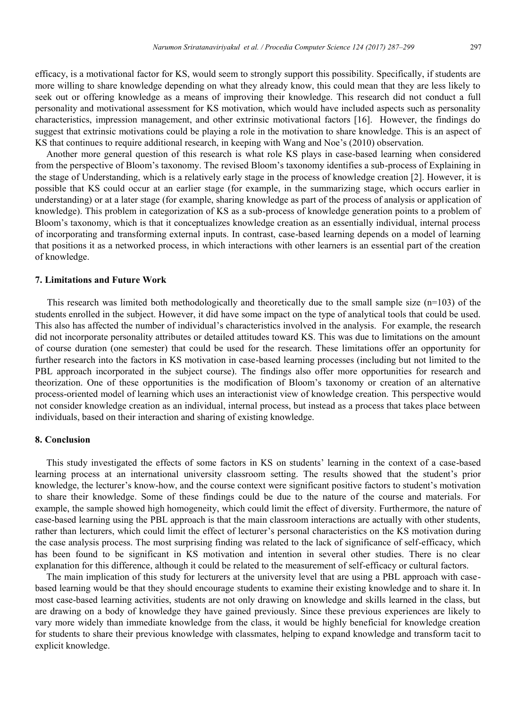efficacy, is a motivational factor for KS, would seem to strongly support this possibility. Specifically, if students are more willing to share knowledge depending on what they already know, this could mean that they are less likely to seek out or offering knowledge as a means of improving their knowledge. This research did not conduct a full personality and motivational assessment for KS motivation, which would have included aspects such as personality characteristics, impression management, and other extrinsic motivational factors [16]. However, the findings do suggest that extrinsic motivations could be playing a role in the motivation to share knowledge. This is an aspect of KS that continues to require additional research, in keeping with Wang and Noe's (2010) observation.

Another more general question of this research is what role KS plays in case-based learning when considered from the perspective of Bloom's taxonomy. The revised Bloom's taxonomy identifies a sub-process of Explaining in the stage of Understanding, which is a relatively early stage in the process of knowledge creation [2]. However, it is possible that KS could occur at an earlier stage (for example, in the summarizing stage, which occurs earlier in understanding) or at a later stage (for example, sharing knowledge as part of the process of analysis or application of knowledge). This problem in categorization of KS as a sub-process of knowledge generation points to a problem of Bloom's taxonomy, which is that it conceptualizes knowledge creation as an essentially individual, internal process of incorporating and transforming external inputs. In contrast, case-based learning depends on a model of learning that positions it as a networked process, in which interactions with other learners is an essential part of the creation of knowledge.

## **7. Limitations and Future Work**

This research was limited both methodologically and theoretically due to the small sample size (n=103) of the students enrolled in the subject. However, it did have some impact on the type of analytical tools that could be used. This also has affected the number of individual's characteristics involved in the analysis. For example, the research did not incorporate personality attributes or detailed attitudes toward KS. This was due to limitations on the amount of course duration (one semester) that could be used for the research. These limitations offer an opportunity for further research into the factors in KS motivation in case-based learning processes (including but not limited to the PBL approach incorporated in the subject course). The findings also offer more opportunities for research and theorization. One of these opportunities is the modification of Bloom's taxonomy or creation of an alternative process-oriented model of learning which uses an interactionist view of knowledge creation. This perspective would not consider knowledge creation as an individual, internal process, but instead as a process that takes place between individuals, based on their interaction and sharing of existing knowledge.

## **8. Conclusion**

This study investigated the effects of some factors in KS on students' learning in the context of a case-based learning process at an international university classroom setting. The results showed that the student's prior knowledge, the lecturer's know-how, and the course context were significant positive factors to student's motivation to share their knowledge. Some of these findings could be due to the nature of the course and materials. For example, the sample showed high homogeneity, which could limit the effect of diversity. Furthermore, the nature of case-based learning using the PBL approach is that the main classroom interactions are actually with other students, rather than lecturers, which could limit the effect of lecturer's personal characteristics on the KS motivation during the case analysis process. The most surprising finding was related to the lack of significance of self-efficacy, which has been found to be significant in KS motivation and intention in several other studies. There is no clear explanation for this difference, although it could be related to the measurement of self-efficacy or cultural factors.

The main implication of this study for lecturers at the university level that are using a PBL approach with casebased learning would be that they should encourage students to examine their existing knowledge and to share it. In most case-based learning activities, students are not only drawing on knowledge and skills learned in the class, but are drawing on a body of knowledge they have gained previously. Since these previous experiences are likely to vary more widely than immediate knowledge from the class, it would be highly beneficial for knowledge creation for students to share their previous knowledge with classmates, helping to expand knowledge and transform tacit to explicit knowledge.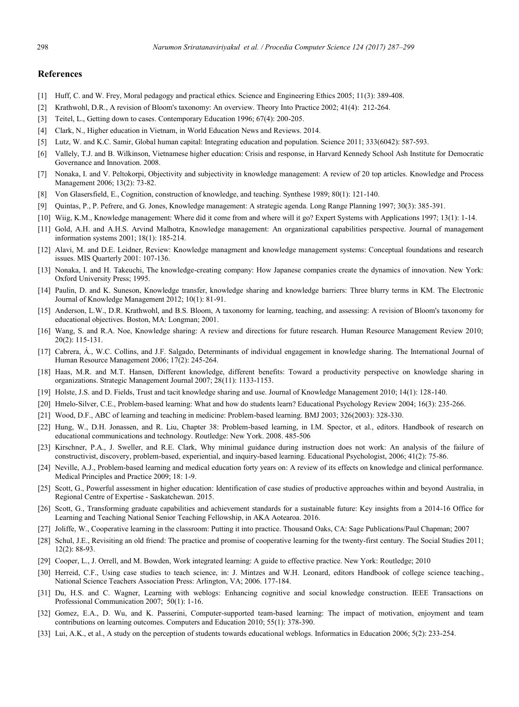#### **References**

- [1] Huff, C. and W. Frey, Moral pedagogy and practical ethics. Science and Engineering Ethics 2005; 11(3): 389-408.
- [2] Krathwohl, D.R., A revision of Bloom's taxonomy: An overview. Theory Into Practice 2002; 41(4): 212-264.
- [3] Teitel, L., Getting down to cases. Contemporary Education 1996; 67(4): 200-205.
- [4] Clark, N., Higher education in Vietnam, in World Education News and Reviews. 2014.
- [5] Lutz, W. and K.C. Samir, Global human capital: Integrating education and population. Science 2011; 333(6042): 587-593.
- [6] Vallely, T.J. and B. Wilkinson, Vietnamese higher education: Crisis and response, in Harvard Kennedy School Ash Institute for Democratic Governance and Innovation. 2008.
- [7] Nonaka, I. and V. Peltokorpi, Objectivity and subjectivity in knowledge management: A review of 20 top articles. Knowledge and Process Management 2006; 13(2): 73-82.
- [8] Von Glasersfield, E., Cognition, construction of knowledge, and teaching. Synthese 1989; 80(1): 121-140.
- [9] Quintas, P., P. Pefrere, and G. Jones, Knowledge management: A strategic agenda. Long Range Planning 1997; 30(3): 385-391.
- [10] Wiig, K.M., Knowledge management: Where did it come from and where will it go? Expert Systems with Applications 1997; 13(1): 1-14.
- [11] Gold, A.H. and A.H.S. Arvind Malhotra, Knowledge management: An organizational capabilities perspective. Journal of management information systems 2001; 18(1): 185-214.
- [12] Alavi, M. and D.E. Leidner, Review: Knowledge managment and knowledge management systems: Conceptual foundations and research issues. MIS Quarterly 2001: 107-136.
- [13] Nonaka, I. and H. Takeuchi, The knowledge-creating company: How Japanese companies create the dynamics of innovation. New York: Oxford University Press; 1995.
- [14] Paulin, D. and K. Suneson, Knowledge transfer, knowledge sharing and knowledge barriers: Three blurry terms in KM. The Electronic Journal of Knowledge Management 2012; 10(1): 81-91.
- [15] Anderson, L.W., D.R. Krathwohl, and B.S. Bloom, A taxonomy for learning, teaching, and assessing: A revision of Bloom's taxonomy for educational objectives. Boston, MA: Longman; 2001.
- [16] Wang, S. and R.A. Noe, Knowledge sharing: A review and directions for future research. Human Resource Management Review 2010; 20(2): 115-131.
- [17] Cabrera, Á., W.C. Collins, and J.F. Salgado, Determinants of individual engagement in knowledge sharing. The International Journal of Human Resource Management 2006; 17(2): 245-264.
- [18] Haas, M.R. and M.T. Hansen, Different knowledge, different benefits: Toward a productivity perspective on knowledge sharing in organizations. Strategic Management Journal 2007; 28(11): 1133-1153.
- [19] Holste, J.S. and D. Fields, Trust and tacit knowledge sharing and use. Journal of Knowledge Management 2010; 14(1): 128-140.
- [20] Hmelo-Silver, C.E., Problem-based learning: What and how do students learn? Educational Psychology Review 2004; 16(3): 235-266.
- [21] Wood, D.F., ABC of learning and teaching in medicine: Problem-based learning. BMJ 2003; 326(2003): 328-330.
- [22] Hung, W., D.H. Jonassen, and R. Liu, Chapter 38: Problem-based learning, in I.M. Spector, et al., editors. Handbook of research on educational communications and technology. Routledge: New York. 2008. 485-506
- [23] Kirschner, P.A., J. Sweller, and R.E. Clark, Why minimal guidance during instruction does not work: An analysis of the failure of constructivist, discovery, problem-based, experiential, and inquiry-based learning. Educational Psychologist, 2006; 41(2): 75-86.
- [24] Neville, A.J., Problem-based learning and medical education forty years on: A review of its effects on knowledge and clinical performance. Medical Principles and Practice 2009; 18: 1-9.
- [25] Scott, G., Powerful assessment in higher education: Identification of case studies of productive approaches within and beyond Australia, in Regional Centre of Expertise - Saskatchewan. 2015.
- [26] Scott, G., Transforming graduate capabilities and achievement standards for a sustainable future: Key insights from a 2014-16 Office for Learning and Teaching National Senior Teaching Fellowship, in AKA Aotearoa. 2016.
- [27] Joliffe, W., Cooperative learning in the classroom: Putting it into practice. Thousand Oaks, CA: Sage Publications/Paul Chapman; 2007
- [28] Schul, J.E., Revisiting an old friend: The practice and promise of cooperative learning for the twenty-first century. The Social Studies 2011; 12(2): 88-93.
- [29] Cooper, L., J. Orrell, and M. Bowden, Work integrated learning: A guide to effective practice. New York: Routledge; 2010
- [30] Herreid, C.F., Using case studies to teach science, in: J. Mintzes and W.H. Leonard, editors Handbook of college science teaching., National Science Teachers Association Press: Arlington, VA; 2006. 177-184.
- [31] Du, H.S. and C. Wagner, Learning with weblogs: Enhancing cognitive and social knowledge construction. IEEE Transactions on Professional Communication 2007; 50(1): 1-16.
- [32] Gomez, E.A., D. Wu, and K. Passerini, Computer-supported team-based learning: The impact of motivation, enjoyment and team contributions on learning outcomes. Computers and Education 2010; 55(1): 378-390.
- [33] Lui, A.K., et al., A study on the perception of students towards educational weblogs. Informatics in Education 2006; 5(2): 233-254.